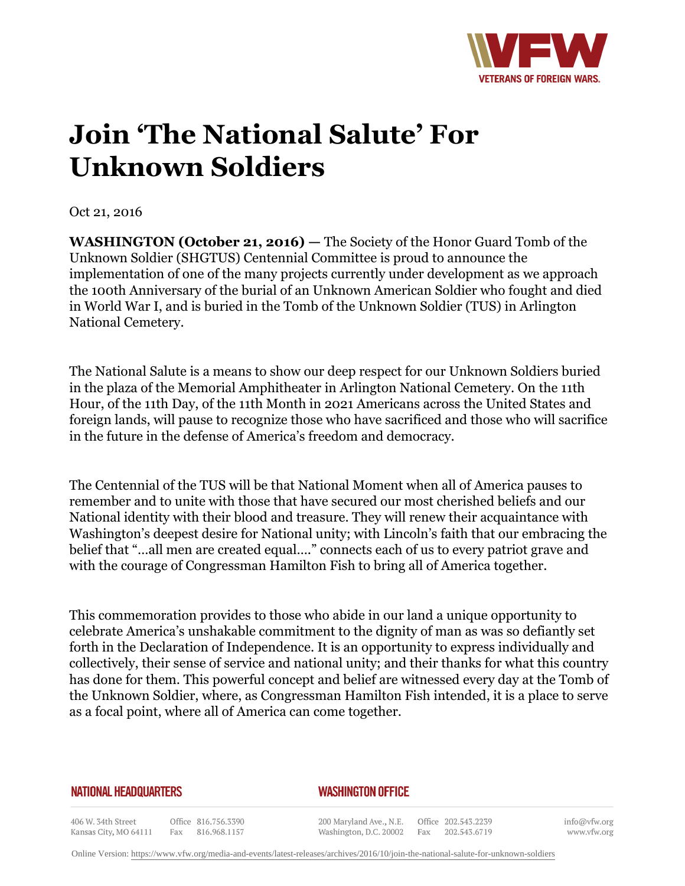

## **Join 'The National Salute' For Unknown Soldiers**

Oct 21, 2016

**WASHINGTON (October 21, 2016)** — The Society of the Honor Guard Tomb of the Unknown Soldier (SHGTUS) Centennial Committee is proud to announce the implementation of one of the many projects currently under development as we approach the 100th Anniversary of the burial of an Unknown American Soldier who fought and died in World War I, and is buried in the Tomb of the Unknown Soldier (TUS) in Arlington National Cemetery.

The National Salute is a means to show our deep respect for our Unknown Soldiers buried in the plaza of the Memorial Amphitheater in Arlington National Cemetery. On the 11th Hour, of the 11th Day, of the 11th Month in 2021 Americans across the United States and foreign lands, will pause to recognize those who have sacrificed and those who will sacrifice in the future in the defense of America's freedom and democracy.

The Centennial of the TUS will be that National Moment when all of America pauses to remember and to unite with those that have secured our most cherished beliefs and our National identity with their blood and treasure. They will renew their acquaintance with Washington's deepest desire for National unity; with Lincoln's faith that our embracing the belief that "…all men are created equal…." connects each of us to every patriot grave and with the courage of Congressman Hamilton Fish to bring all of America together.

This commemoration provides to those who abide in our land a unique opportunity to celebrate America's unshakable commitment to the dignity of man as was so defiantly set forth in the Declaration of Independence. It is an opportunity to express individually and collectively, their sense of service and national unity; and their thanks for what this country has done for them. This powerful concept and belief are witnessed every day at the Tomb of the Unknown Soldier, where, as Congressman Hamilton Fish intended, it is a place to serve as a focal point, where all of America can come together.

## **NATIONAL HEADQUARTERS**

## *WASHINGTON OFFICE*

406 W. 34th Street Office 816.756.3390 Kansas City, MO 64111 Fax 816.968.1157

200 Maryland Ave., N.E. Washington, D.C. 20002

Office 202.543.2239 Fax 202.543.6719

info@vfw.org www.vfw.org

Online Version:<https://www.vfw.org/media-and-events/latest-releases/archives/2016/10/join-the-national-salute-for-unknown-soldiers>